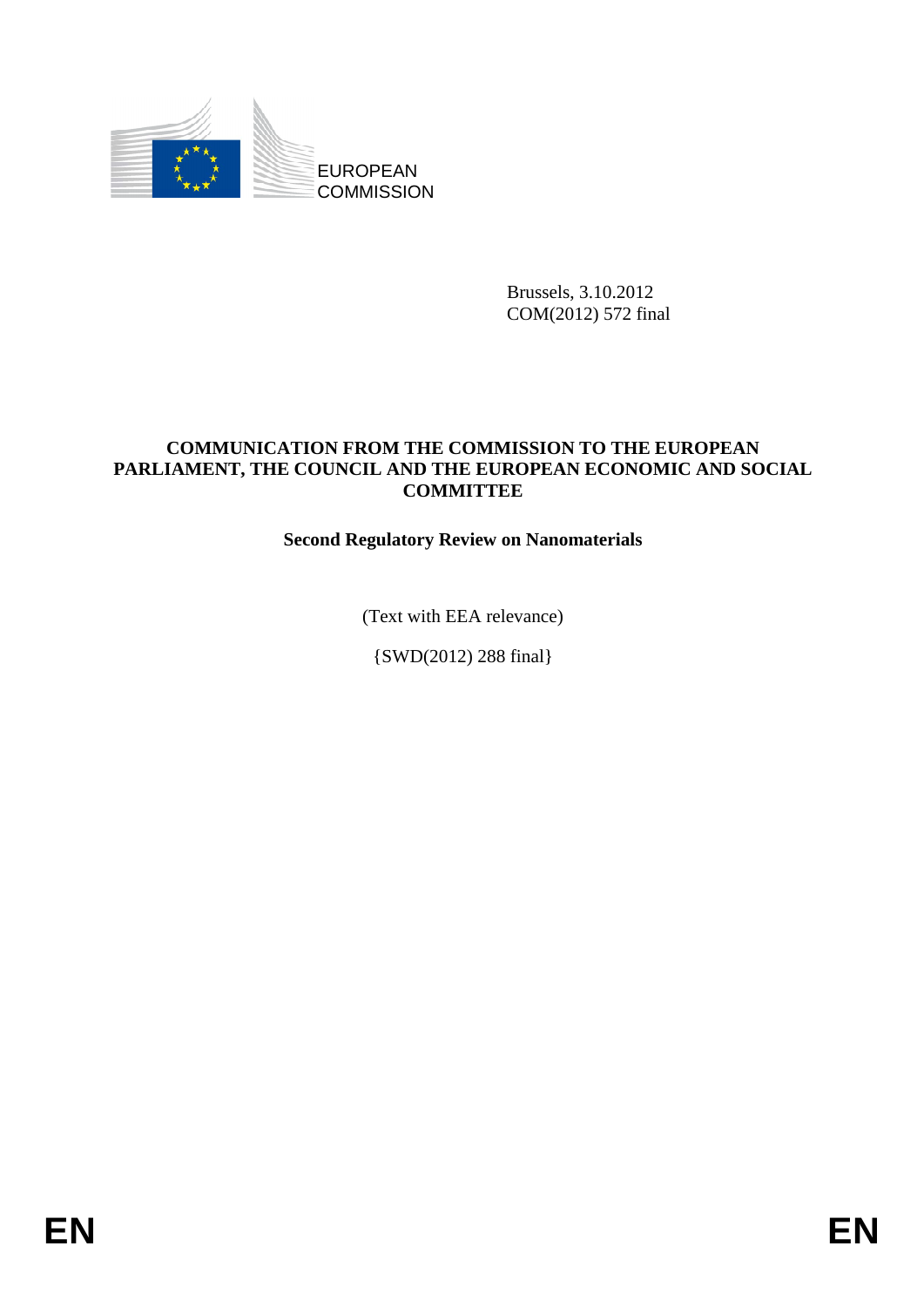

Brussels, 3.10.2012 COM(2012) 572 final

### **COMMUNICATION FROM THE COMMISSION TO THE EUROPEAN PARLIAMENT, THE COUNCIL AND THE EUROPEAN ECONOMIC AND SOCIAL COMMITTEE**

# **Second Regulatory Review on Nanomaterials**

(Text with EEA relevance)

{SWD(2012) 288 final}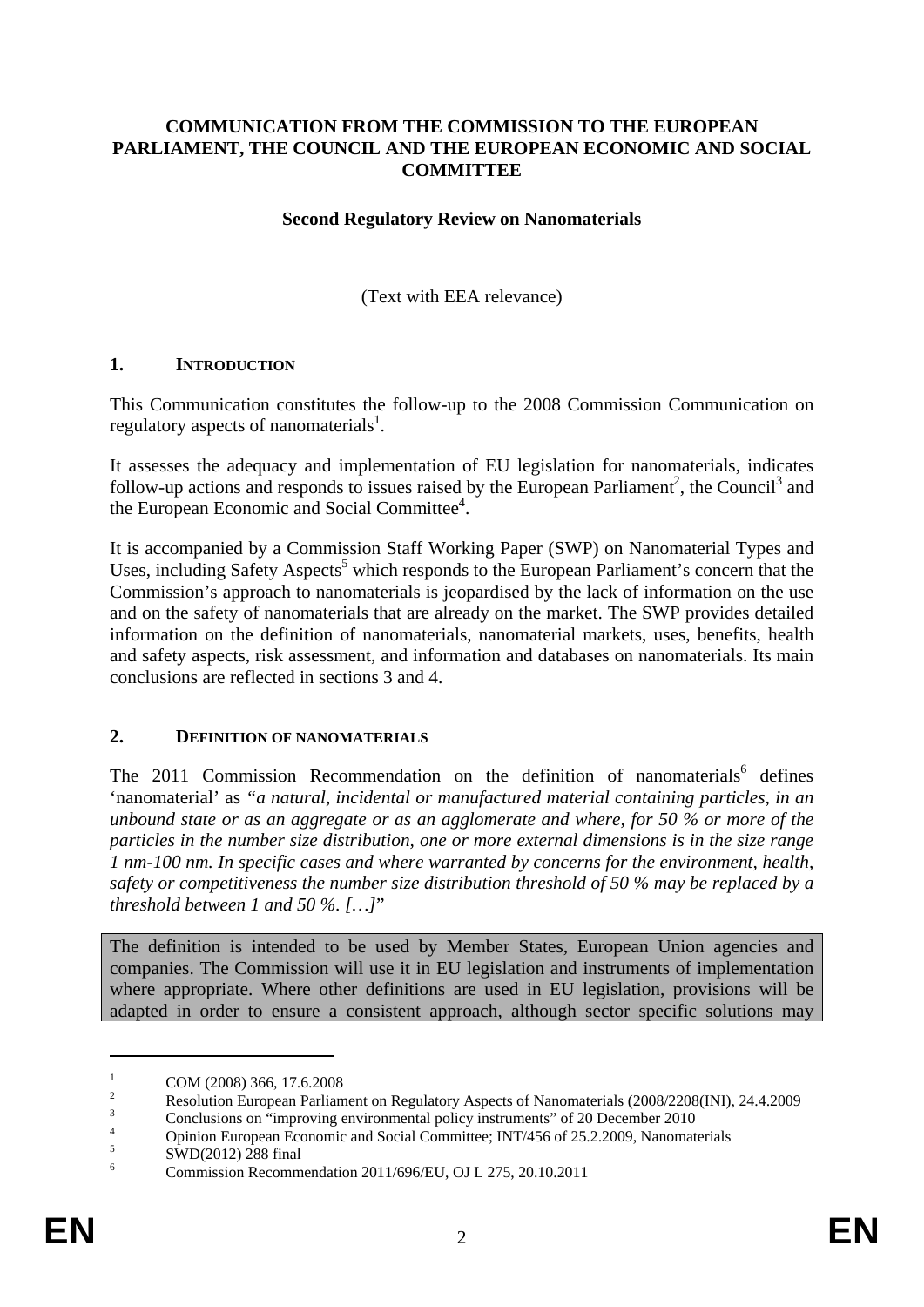### **COMMUNICATION FROM THE COMMISSION TO THE EUROPEAN PARLIAMENT, THE COUNCIL AND THE EUROPEAN ECONOMIC AND SOCIAL COMMITTEE**

### **Second Regulatory Review on Nanomaterials**

(Text with EEA relevance)

### **1. INTRODUCTION**

This Communication constitutes the follow-up to the 2008 Commission Communication on regulatory aspects of nanomaterials<sup>1</sup>.

It assesses the adequacy and implementation of EU legislation for nanomaterials, indicates follow-up actions and responds to issues raised by the European Parliament<sup>2</sup>, the Council<sup>3</sup> and the European Economic and Social Committee<sup>4</sup>.

It is accompanied by a Commission Staff Working Paper (SWP) on Nanomaterial Types and Uses, including Safety Aspects<sup>5</sup> which responds to the European Parliament's concern that the Commission's approach to nanomaterials is jeopardised by the lack of information on the use and on the safety of nanomaterials that are already on the market. The SWP provides detailed information on the definition of nanomaterials, nanomaterial markets, uses, benefits, health and safety aspects, risk assessment, and information and databases on nanomaterials. Its main conclusions are reflected in sections 3 and 4.

#### **2. DEFINITION OF NANOMATERIALS**

The 2011 Commission Recommendation on the definition of nanomaterials<sup>6</sup> defines 'nanomaterial' as *"a natural, incidental or manufactured material containing particles, in an unbound state or as an aggregate or as an agglomerate and where, for 50 % or more of the particles in the number size distribution, one or more external dimensions is in the size range 1 nm-100 nm. In specific cases and where warranted by concerns for the environment, health, safety or competitiveness the number size distribution threshold of 50 % may be replaced by a threshold between 1 and 50 %. […]*"

The definition is intended to be used by Member States, European Union agencies and companies. The Commission will use it in EU legislation and instruments of implementation where appropriate. Where other definitions are used in EU legislation, provisions will be adapted in order to ensure a consistent approach, although sector specific solutions may

<sup>1</sup> COM (2008) 366, 17.6.2008

<sup>2</sup> Resolution European Parliament on Regulatory Aspects of Nanomaterials [\(2008/22](http://www.europarl.europa.eu/oeil/FindByProcnum.do?lang=en&procnum=INI/2008/2208)08(INI), 24.4.2009

<sup>3</sup> Conclusions on "improving environmental policy instruments" of 20 December 2010 4

Opinion European Economic and Social Committee; INT/456 of 25.2.2009, Nanomaterials

<sup>5</sup> SWD(2012) 288 final

<sup>6</sup> Commission Recommendation 2011/696/EU, OJ L 275, 20.10.2011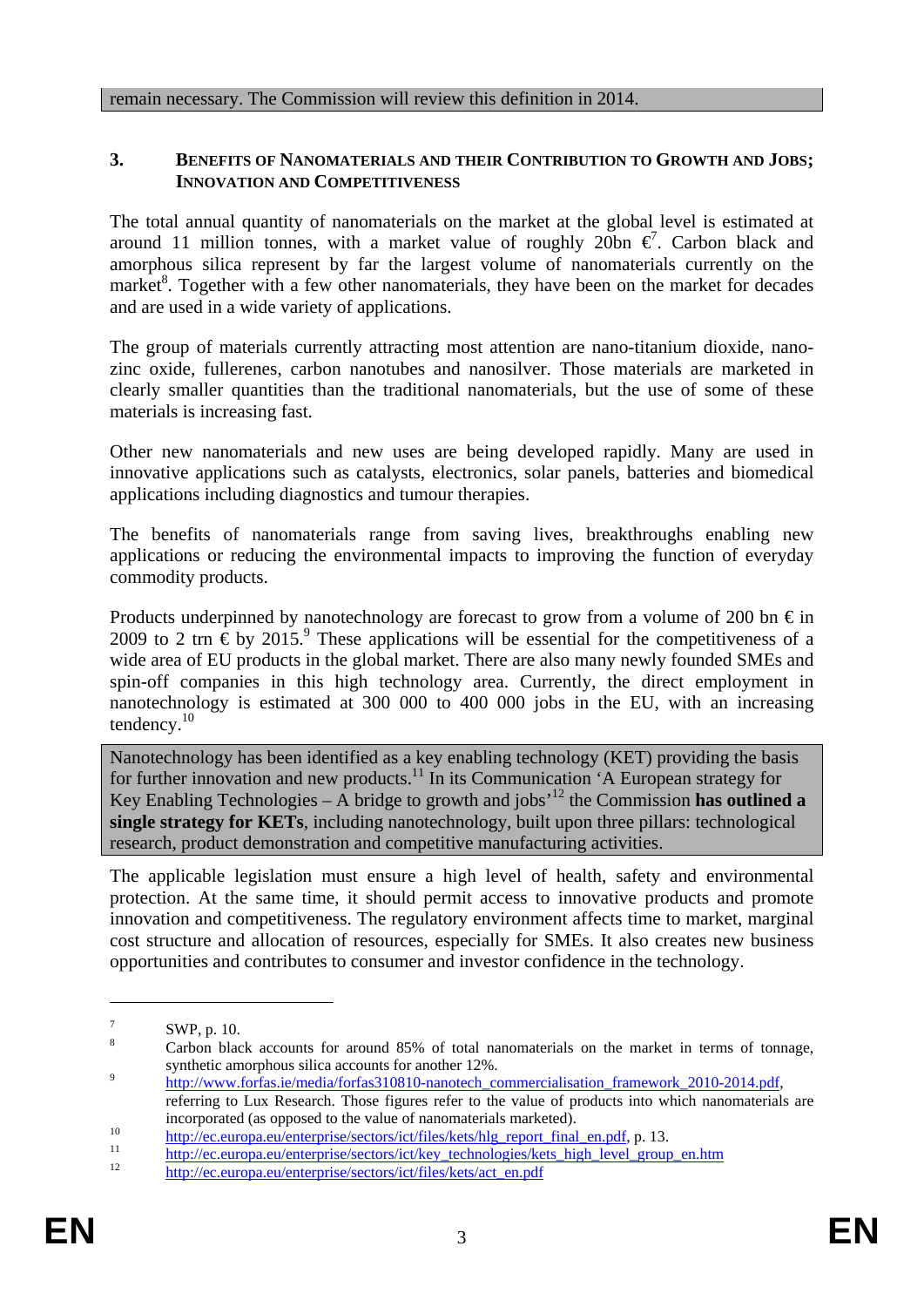### **3. BENEFITS OF NANOMATERIALS AND THEIR CONTRIBUTION TO GROWTH AND JOBS; INNOVATION AND COMPETITIVENESS**

The total annual quantity of nanomaterials on the market at the global level is estimated at around 11 million tonnes, with a market value of roughly 20bn  $\vec{\epsilon}$ . Carbon black and amorphous silica represent by far the largest volume of nanomaterials currently on the market<sup>8</sup>. Together with a few other nanomaterials, they have been on the market for decades and are used in a wide variety of applications.

The group of materials currently attracting most attention are nano-titanium dioxide, nanozinc oxide, fullerenes, carbon nanotubes and nanosilver. Those materials are marketed in clearly smaller quantities than the traditional nanomaterials, but the use of some of these materials is increasing fast.

Other new nanomaterials and new uses are being developed rapidly. Many are used in innovative applications such as catalysts, electronics, solar panels, batteries and biomedical applications including diagnostics and tumour therapies.

The benefits of nanomaterials range from saving lives, breakthroughs enabling new applications or reducing the environmental impacts to improving the function of everyday commodity products.

Products underpinned by nanotechnology are forecast to grow from a volume of 200 bn  $\epsilon$  in 2009 to 2 trn  $\epsilon$  by 2015.<sup>9</sup> These applications will be essential for the competitiveness of a wide area of EU products in the global market. There are also many newly founded SMEs and spin-off companies in this high technology area. Currently, the direct employment in nanotechnology is estimated at 300 000 to 400 000 jobs in the EU, with an increasing tendency.10

Nanotechnology has been identified as a key enabling technology (KET) providing the basis for further innovation and new products.<sup>11</sup> In its Communication 'A European strategy for Key Enabling Technologies – A bridge to growth and jobs<sup> $12$ </sup> the Commission **has outlined a single strategy for KETs**, including nanotechnology, built upon three pillars: technological research, product demonstration and competitive manufacturing activities.

The applicable legislation must ensure a high level of health, safety and environmental protection. At the same time, it should permit access to innovative products and promote innovation and competitiveness. The regulatory environment affects time to market, marginal cost structure and allocation of resources, especially for SMEs. It also creates new business opportunities and contributes to consumer and investor confidence in the technology.

<sup>7</sup> SWP, p. 10.

<sup>8</sup> Carbon black accounts for around 85% of total nanomaterials on the market in terms of tonnage, synthetic amorphous silica accounts for another 12%.<br>
<sup>9</sup> [http://www.forfas.ie/me](http://www.forfas.ie/media/forfas310810-nanotech_commercialisation_framework_2010-2014.pdf)dia/forfas310810-nanotech\_commercialisation\_framework\_2010-2014.pdf,

referring to Lux Research. Those figures refer to the value of products into which nanomaterials are

incorporated (as opposed to the value of nanomaterials marketed).<br> [http://ec.europa.eu/enterprise/sectors/ict/files/kets/hlg\\_report\\_final\\_en.pdf,](http://ec.europa.eu/enterprise/sectors/ict/files/kets/hlg_report_final_en.pdf) p. 13.<br>
http://ec.europa.eu/enterprise/sectors/ict/key\_technologies/kets\_hig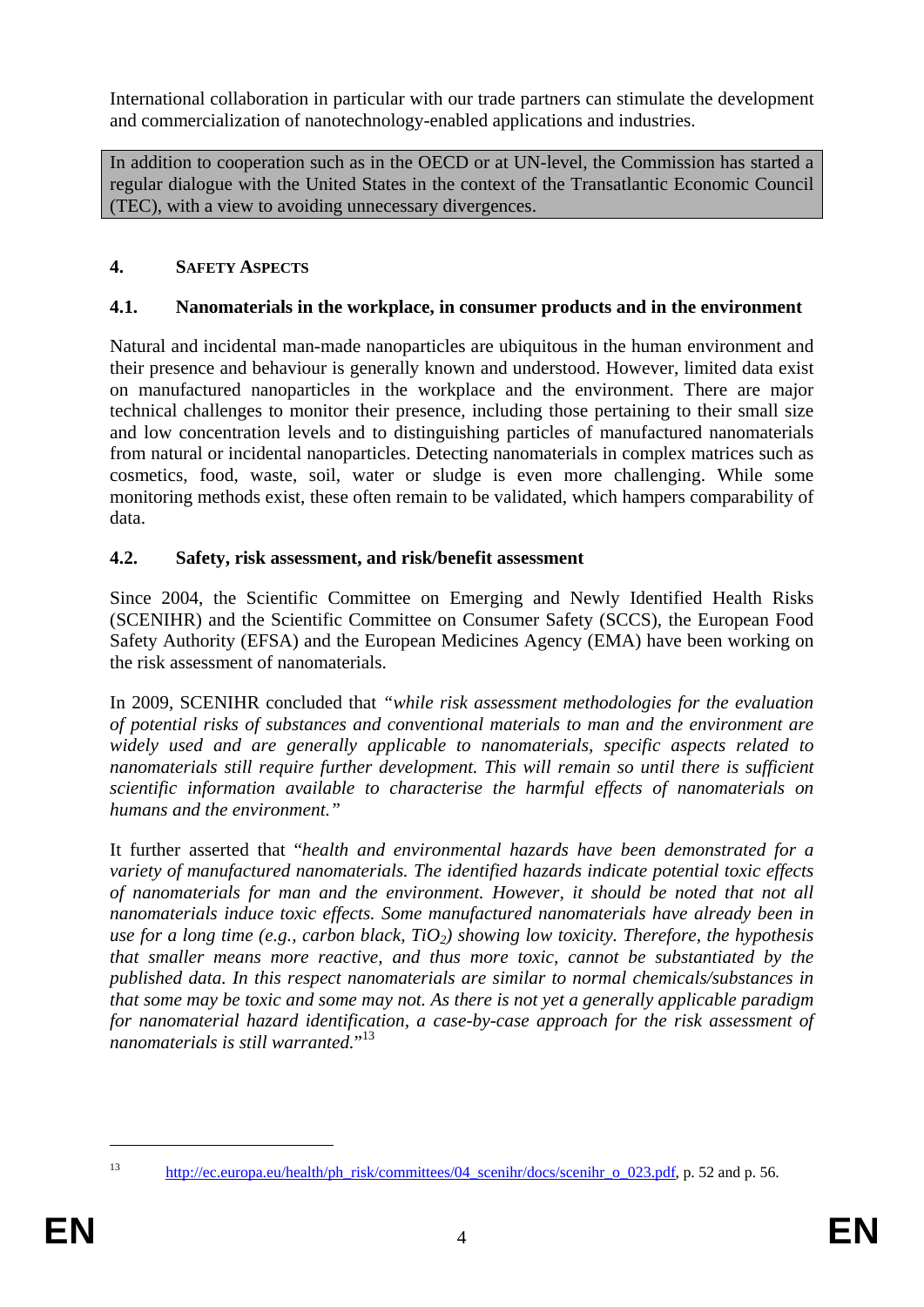International collaboration in particular with our trade partners can stimulate the development and commercialization of nanotechnology-enabled applications and industries.

In addition to cooperation such as in the OECD or at UN-level, the Commission has started a regular dialogue with the United States in the context of the Transatlantic Economic Council (TEC), with a view to avoiding unnecessary divergences.

# **4. SAFETY ASPECTS**

# **4.1. Nanomaterials in the workplace, in consumer products and in the environment**

Natural and incidental man-made nanoparticles are ubiquitous in the human environment and their presence and behaviour is generally known and understood. However, limited data exist on manufactured nanoparticles in the workplace and the environment. There are major technical challenges to monitor their presence, including those pertaining to their small size and low concentration levels and to distinguishing particles of manufactured nanomaterials from natural or incidental nanoparticles. Detecting nanomaterials in complex matrices such as cosmetics, food, waste, soil, water or sludge is even more challenging. While some monitoring methods exist, these often remain to be validated, which hampers comparability of data.

# **4.2. Safety, risk assessment, and risk/benefit assessment**

Since 2004, the Scientific Committee on Emerging and Newly Identified Health Risks (SCENIHR) and the Scientific Committee on Consumer Safety (SCCS), the European Food Safety Authority (EFSA) and the European Medicines Agency (EMA) have been working on the risk assessment of nanomaterials.

In 2009, SCENIHR concluded that *"while risk assessment methodologies for the evaluation of potential risks of substances and conventional materials to man and the environment are widely used and are generally applicable to nanomaterials, specific aspects related to nanomaterials still require further development. This will remain so until there is sufficient scientific information available to characterise the harmful effects of nanomaterials on humans and the environment."* 

It further asserted that "*health and environmental hazards have been demonstrated for a variety of manufactured nanomaterials. The identified hazards indicate potential toxic effects of nanomaterials for man and the environment. However, it should be noted that not all nanomaterials induce toxic effects. Some manufactured nanomaterials have already been in use for a long time (e.g., carbon black, TiO2) showing low toxicity. Therefore, the hypothesis that smaller means more reactive, and thus more toxic, cannot be substantiated by the published data. In this respect nanomaterials are similar to normal chemicals/substances in that some may be toxic and some may not. As there is not yet a generally applicable paradigm for nanomaterial hazard identification, a case-by-case approach for the risk assessment of nanomaterials is still warranted.*" 13

<sup>1</sup> 

<sup>&</sup>lt;sup>13</sup> http://ec.europa.eu/health/ph\_risk/committees/04\_scenihr/docs/scenihr\_o\_023.pdf, p. 52 and p. 56.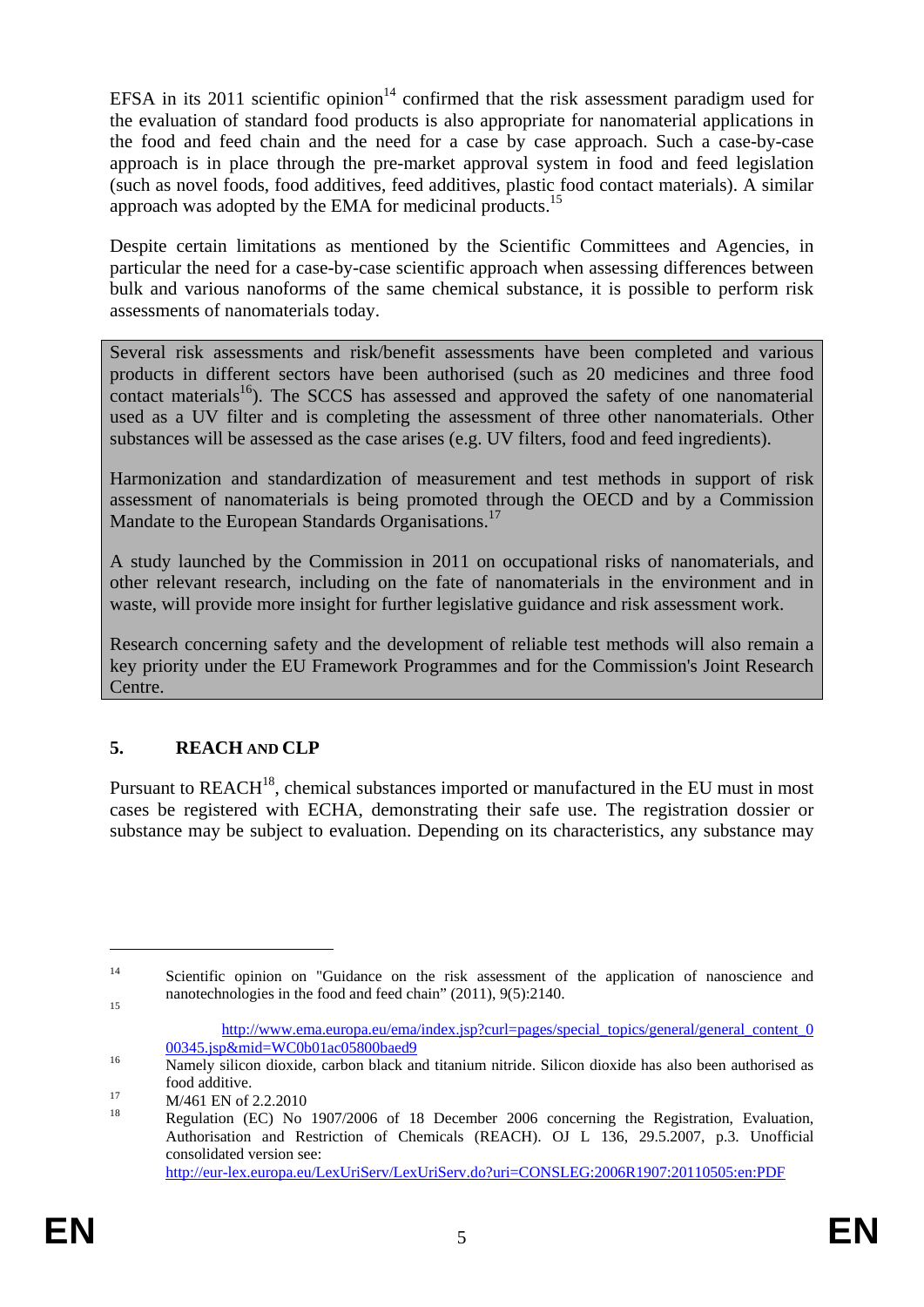EFSA in its 2011 scientific opinion<sup>14</sup> confirmed that the risk assessment paradigm used for the evaluation of standard food products is also appropriate for nanomaterial applications in the food and feed chain and the need for a case by case approach. Such a case-by-case approach is in place through the pre-market approval system in food and feed legislation (such as novel foods, food additives, feed additives, plastic food contact materials). A similar approach was adopted by the EMA for medicinal products.<sup>15</sup>

Despite certain limitations as mentioned by the Scientific Committees and Agencies, in particular the need for a case-by-case scientific approach when assessing differences between bulk and various nanoforms of the same chemical substance, it is possible to perform risk assessments of nanomaterials today.

Several risk assessments and risk/benefit assessments have been completed and various products in different sectors have been authorised (such as 20 medicines and three food contact materials<sup>16</sup>). The SCCS has assessed and approved the safety of one nanomaterial used as a UV filter and is completing the assessment of three other nanomaterials. Other substances will be assessed as the case arises (e.g. UV filters, food and feed ingredients).

Harmonization and standardization of measurement and test methods in support of risk assessment of nanomaterials is being promoted through the OECD and by a Commission Mandate to the European Standards Organisations.<sup>17</sup>

A study launched by the Commission in 2011 on occupational risks of nanomaterials, and other relevant research, including on the fate of nanomaterials in the environment and in waste, will provide more insight for further legislative guidance and risk assessment work.

Research concerning safety and the development of reliable test methods will also remain a key priority under the EU Framework Programmes and for the Commission's Joint Research Centre.

# **5. REACH AND CLP**

Pursuant to REACH<sup>18</sup>, chemical substances imported or manufactured in the EU must in most cases be registered with ECHA, demonstrating their safe use. The registration dossier or substance may be subject to evaluation. Depending on its characteristics, any substance may

<sup>&</sup>lt;sup>14</sup> Scientific opinion on "Guidance on the risk assessment of the application of nanoscience and nanotechnologies in the food and feed chain" (2011), 9(5):2140.

[http://www.ema.europa.eu/ema/index.jsp?curl=pages/special\\_topics/general/general\\_content\\_0](http://www.ema.europa.eu/ema/index.jsp?curl=pages/special_topics/general/general_content_000345.jsp&mid=WC0b01ac05800baed9)<br>00345.jsp&mid=WC0b01ac05800baed9

 $\frac{16}{N$ amely silicon dioxide, carbon black and titanium nitride. Silicon dioxide has also been authorised as

food additive.<br>  $M/461$  EN of 2.2.2010<br>  $M_1$ <sup>18</sup>

<sup>18</sup> Regulation (EC) No 1907/2006 of 18 December 2006 concerning the Registration, Evaluation, Authorisation and Restriction of Chemicals (REACH). OJ L 136, 29.5.2007, p.3. Unofficial consolidated version see: <http://eur-lex.europa.eu/LexUriServ/LexUriServ.do?uri=CONSLEG:2006R1907:20110505:en:PDF>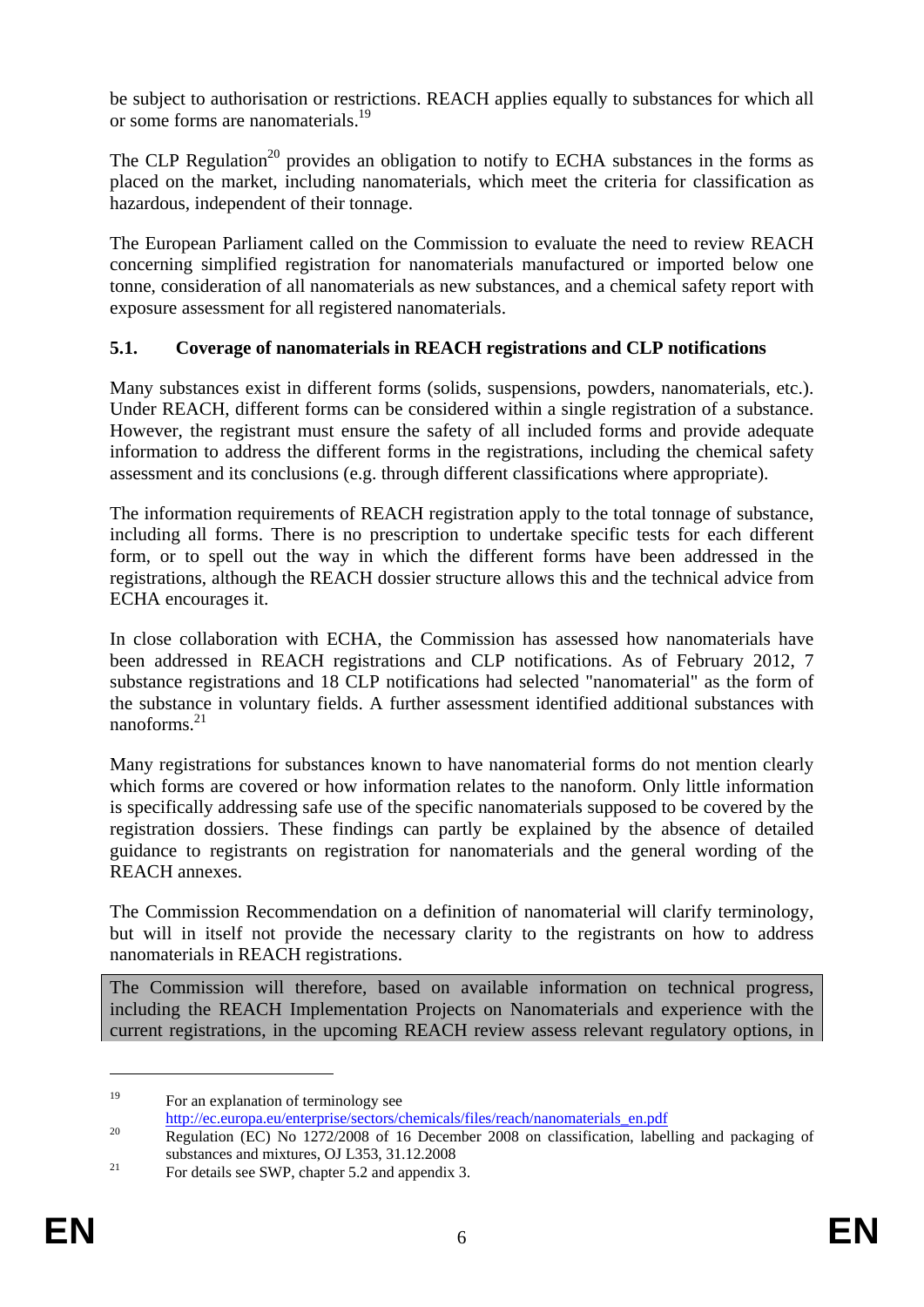be subject to authorisation or restrictions. REACH applies equally to substances for which all or some forms are nanomaterials.19

The CLP Regulation<sup>20</sup> provides an obligation to notify to ECHA substances in the forms as placed on the market, including nanomaterials, which meet the criteria for classification as hazardous, independent of their tonnage.

The European Parliament called on the Commission to evaluate the need to review REACH concerning simplified registration for nanomaterials manufactured or imported below one tonne, consideration of all nanomaterials as new substances, and a chemical safety report with exposure assessment for all registered nanomaterials.

# **5.1. Coverage of nanomaterials in REACH registrations and CLP notifications**

Many substances exist in different forms (solids, suspensions, powders, nanomaterials, etc.). Under REACH, different forms can be considered within a single registration of a substance. However, the registrant must ensure the safety of all included forms and provide adequate information to address the different forms in the registrations, including the chemical safety assessment and its conclusions (e.g. through different classifications where appropriate).

The information requirements of REACH registration apply to the total tonnage of substance, including all forms. There is no prescription to undertake specific tests for each different form, or to spell out the way in which the different forms have been addressed in the registrations, although the REACH dossier structure allows this and the technical advice from ECHA encourages it.

In close collaboration with ECHA, the Commission has assessed how nanomaterials have been addressed in REACH registrations and CLP notifications. As of February 2012, 7 substance registrations and 18 CLP notifications had selected "nanomaterial" as the form of the substance in voluntary fields. A further assessment identified additional substances with nanoforms $^{21}$ 

Many registrations for substances known to have nanomaterial forms do not mention clearly which forms are covered or how information relates to the nanoform. Only little information is specifically addressing safe use of the specific nanomaterials supposed to be covered by the registration dossiers. These findings can partly be explained by the absence of detailed guidance to registrants on registration for nanomaterials and the general wording of the REACH annexes.

The Commission Recommendation on a definition of nanomaterial will clarify terminology, but will in itself not provide the necessary clarity to the registrants on how to address nanomaterials in REACH registrations.

The Commission will therefore, based on available information on technical progress, including the REACH Implementation Projects on Nanomaterials and experience with the current registrations, in the upcoming REACH review assess relevant regulatory options, in

<u>.</u>

<sup>&</sup>lt;sup>19</sup> For an explanation of terminology see

[http://ec.europa.eu/enterprise/se](http://ec.europa.eu/enterprise/sectors/chemicals/files/reach/nanomaterials_en.pdf)ctors/chemicals/files/reach/nanomaterials\_en.pdf<br>
20 [Regulation \(EC\) No 1272/2008](http://ec.europa.eu/enterprise/sectors/chemicals/files/reach/nanomaterials_en.pdf) of 16 December 2008 on classification, labelling and packaging of substances and mixtures, OJ L353, 31.12.2008<br>For details see SWP, chapter 5.2 and appendix 3.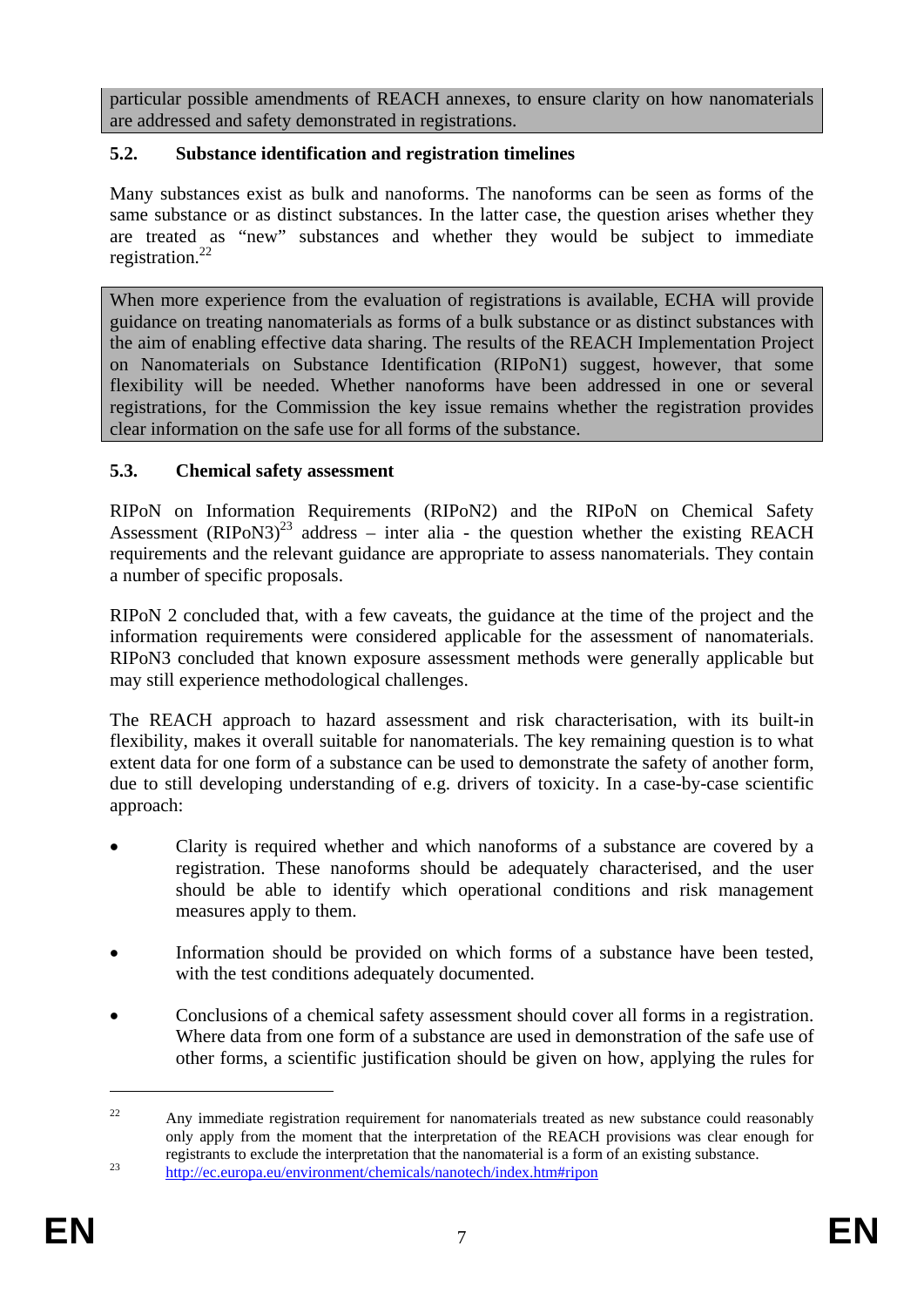particular possible amendments of REACH annexes, to ensure clarity on how nanomaterials are addressed and safety demonstrated in registrations.

# **5.2. Substance identification and registration timelines**

Many substances exist as bulk and nanoforms. The nanoforms can be seen as forms of the same substance or as distinct substances. In the latter case, the question arises whether they are treated as "new" substances and whether they would be subject to immediate registration. $^{22}$ 

When more experience from the evaluation of registrations is available, ECHA will provide guidance on treating nanomaterials as forms of a bulk substance or as distinct substances with the aim of enabling effective data sharing. The results of the REACH Implementation Project on Nanomaterials on Substance Identification (RIPoN1) suggest, however, that some flexibility will be needed. Whether nanoforms have been addressed in one or several registrations, for the Commission the key issue remains whether the registration provides clear information on the safe use for all forms of the substance.

# **5.3. Chemical safety assessment**

RIPoN on Information Requirements (RIPoN2) and the RIPoN on Chemical Safety Assessment  $(RIPoN3)^{23}$  address – inter alia - the question whether the existing REACH requirements and the relevant guidance are appropriate to assess nanomaterials. They contain a number of specific proposals.

RIPoN 2 concluded that, with a few caveats, the guidance at the time of the project and the information requirements were considered applicable for the assessment of nanomaterials. RIPoN3 concluded that known exposure assessment methods were generally applicable but may still experience methodological challenges.

The REACH approach to hazard assessment and risk characterisation, with its built-in flexibility, makes it overall suitable for nanomaterials. The key remaining question is to what extent data for one form of a substance can be used to demonstrate the safety of another form, due to still developing understanding of e.g. drivers of toxicity. In a case-by-case scientific approach:

- Clarity is required whether and which nanoforms of a substance are covered by a registration. These nanoforms should be adequately characterised, and the user should be able to identify which operational conditions and risk management measures apply to them.
- Information should be provided on which forms of a substance have been tested, with the test conditions adequately documented.
- Conclusions of a chemical safety assessment should cover all forms in a registration. Where data from one form of a substance are used in demonstration of the safe use of other forms, a scientific justification should be given on how, applying the rules for

<sup>&</sup>lt;sup>22</sup> Any immediate registration requirement for nanomaterials treated as new substance could reasonably only apply from the moment that the interpretation of the REACH provisions was clear enough for [registrants to exclude the interpretation that the nanomaterial is a form](http://ec.europa.eu/environment/chemicals/nanotech/index.htm#ripon) of an existing substance. [23](http://ec.europa.eu/environment/chemicals/nanotech/index.htm#ripon) <http://ec.europa.eu/environment/chemicals/nanotech/index.htm#ripon>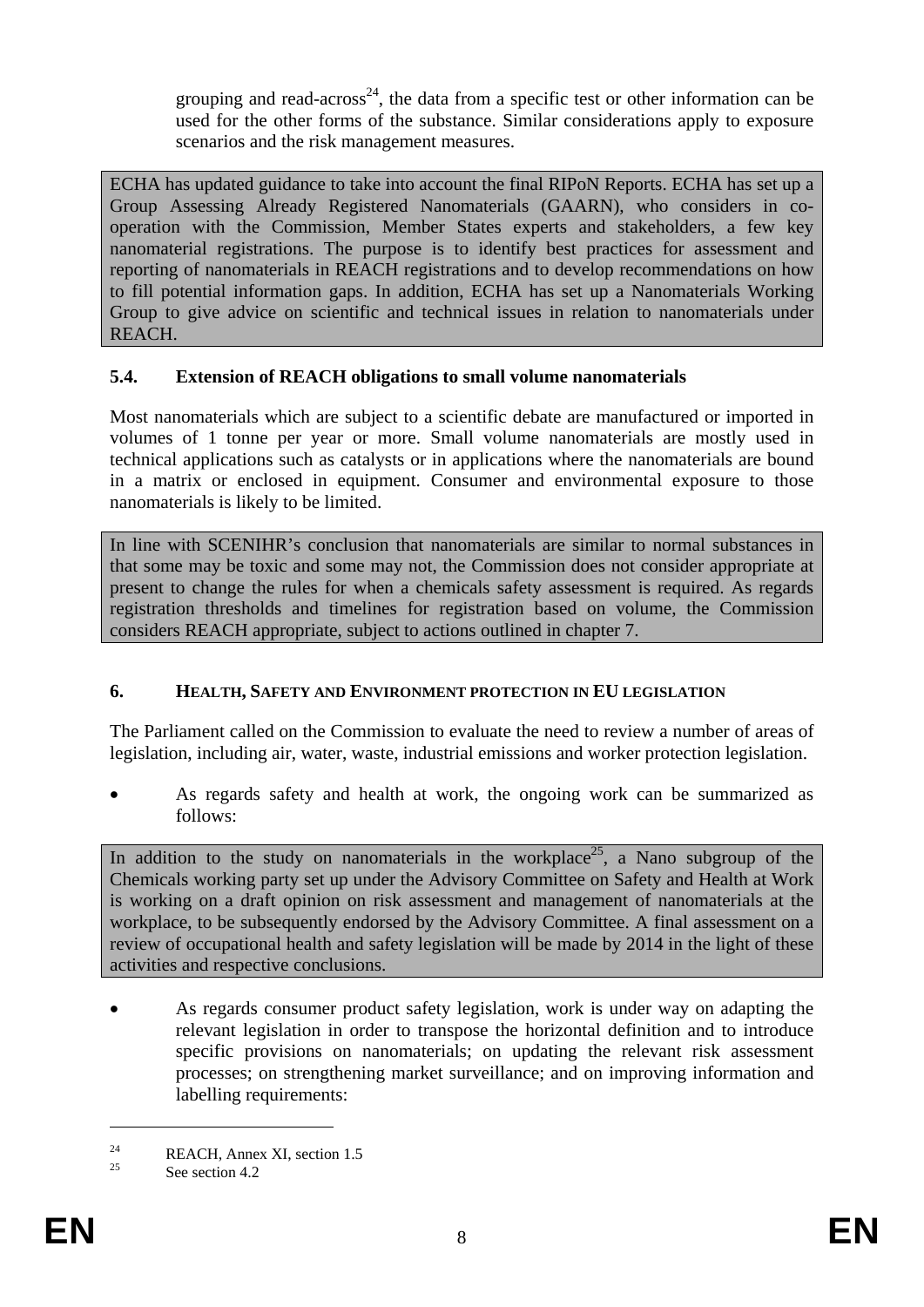grouping and read-across<sup>24</sup>, the data from a specific test or other information can be used for the other forms of the substance. Similar considerations apply to exposure scenarios and the risk management measures.

ECHA has updated guidance to take into account the final RIPoN Reports. ECHA has set up a Group Assessing Already Registered Nanomaterials (GAARN), who considers in cooperation with the Commission, Member States experts and stakeholders, a few key nanomaterial registrations. The purpose is to identify best practices for assessment and reporting of nanomaterials in REACH registrations and to develop recommendations on how to fill potential information gaps. In addition, ECHA has set up a Nanomaterials Working Group to give advice on scientific and technical issues in relation to nanomaterials under REACH.

# **5.4. Extension of REACH obligations to small volume nanomaterials**

Most nanomaterials which are subject to a scientific debate are manufactured or imported in volumes of 1 tonne per year or more. Small volume nanomaterials are mostly used in technical applications such as catalysts or in applications where the nanomaterials are bound in a matrix or enclosed in equipment. Consumer and environmental exposure to those nanomaterials is likely to be limited.

In line with SCENIHR's conclusion that nanomaterials are similar to normal substances in that some may be toxic and some may not, the Commission does not consider appropriate at present to change the rules for when a chemicals safety assessment is required. As regards registration thresholds and timelines for registration based on volume, the Commission considers REACH appropriate, subject to actions outlined in chapter 7.

# **6. HEALTH, SAFETY AND ENVIRONMENT PROTECTION IN EU LEGISLATION**

The Parliament called on the Commission to evaluate the need to review a number of areas of legislation, including air, water, waste, industrial emissions and worker protection legislation.

• As regards safety and health at work, the ongoing work can be summarized as follows:

In addition to the study on nanomaterials in the workplace<sup>25</sup>, a Nano subgroup of the Chemicals working party set up under the Advisory Committee on Safety and Health at Work is working on a draft opinion on risk assessment and management of nanomaterials at the workplace, to be subsequently endorsed by the Advisory Committee. A final assessment on a review of occupational health and safety legislation will be made by 2014 in the light of these activities and respective conclusions.

As regards consumer product safety legislation, work is under way on adapting the relevant legislation in order to transpose the horizontal definition and to introduce specific provisions on nanomaterials; on updating the relevant risk assessment processes; on strengthening market surveillance; and on improving information and labelling requirements:

<u>.</u>

 $R$ EACH, Annex XI, section 1.5

See section 4.2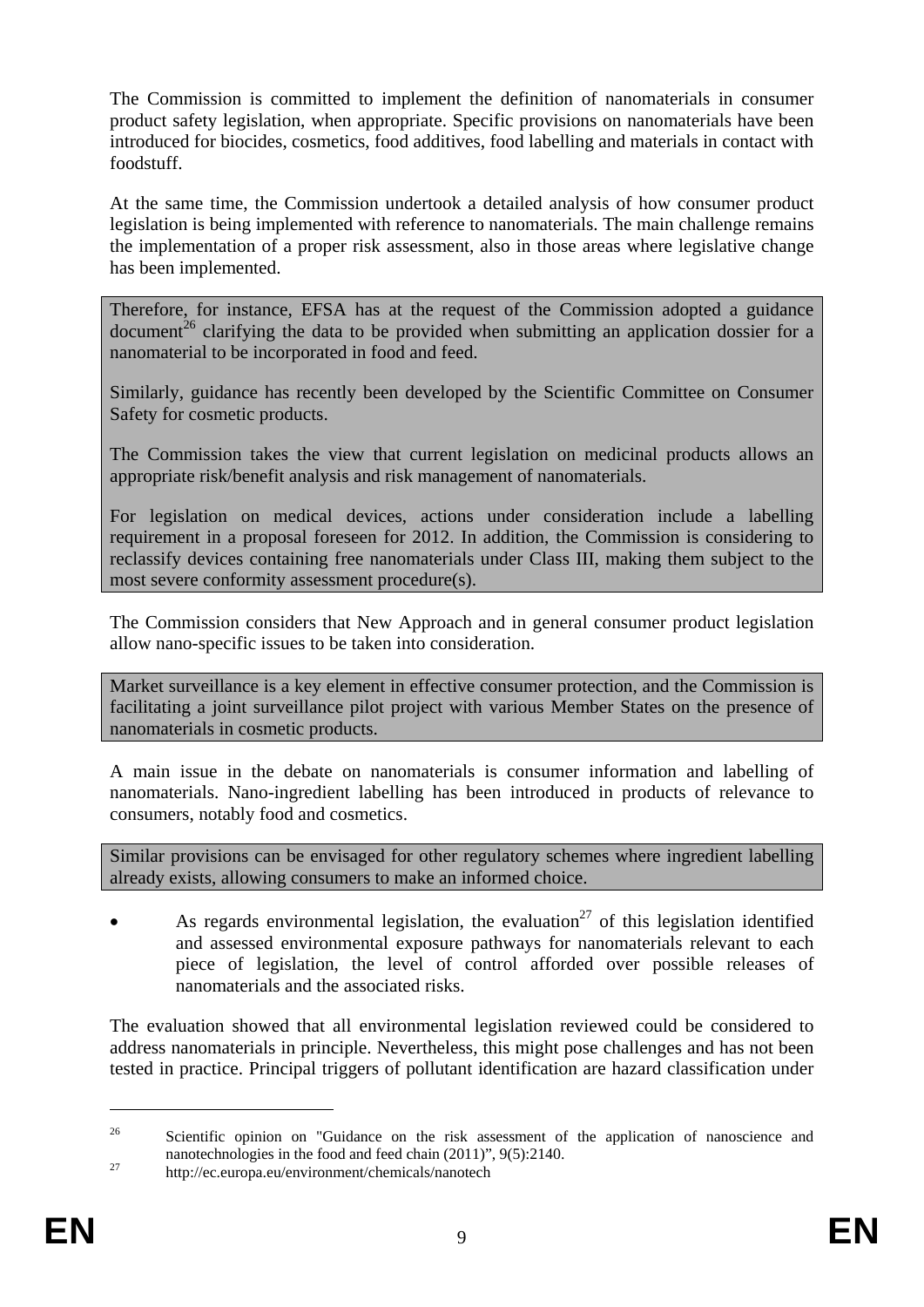The Commission is committed to implement the definition of nanomaterials in consumer product safety legislation, when appropriate. Specific provisions on nanomaterials have been introduced for biocides, cosmetics, food additives, food labelling and materials in contact with foodstuff.

At the same time, the Commission undertook a detailed analysis of how consumer product legislation is being implemented with reference to nanomaterials. The main challenge remains the implementation of a proper risk assessment, also in those areas where legislative change has been implemented.

Therefore, for instance, EFSA has at the request of the Commission adopted a guidance document<sup>26</sup> clarifying the data to be provided when submitting an application dossier for a nanomaterial to be incorporated in food and feed.

Similarly, guidance has recently been developed by the Scientific Committee on Consumer Safety for cosmetic products.

The Commission takes the view that current legislation on medicinal products allows an appropriate risk/benefit analysis and risk management of nanomaterials.

For legislation on medical devices, actions under consideration include a labelling requirement in a proposal foreseen for 2012. In addition, the Commission is considering to reclassify devices containing free nanomaterials under Class III, making them subject to the most severe conformity assessment procedure(s).

The Commission considers that New Approach and in general consumer product legislation allow nano-specific issues to be taken into consideration.

Market surveillance is a key element in effective consumer protection, and the Commission is facilitating a joint surveillance pilot project with various Member States on the presence of nanomaterials in cosmetic products.

A main issue in the debate on nanomaterials is consumer information and labelling of nanomaterials. Nano-ingredient labelling has been introduced in products of relevance to consumers, notably food and cosmetics.

Similar provisions can be envisaged for other regulatory schemes where ingredient labelling already exists, allowing consumers to make an informed choice.

As regards environmental legislation, the evaluation<sup>27</sup> of this legislation identified and assessed environmental exposure pathways for nanomaterials relevant to each piece of legislation, the level of control afforded over possible releases of nanomaterials and the associated risks.

The evaluation showed that all environmental legislation reviewed could be considered to address nanomaterials in principle. Nevertheless, this might pose challenges and has not been tested in practice. Principal triggers of pollutant identification are hazard classification under

<sup>&</sup>lt;sup>26</sup> Scientific opinion on "Guidance on the risk assessment of the application of nanoscience and [nanotechnologies in the food and feed chain \(2011\)",](http://ec.europa.eu/environment/chemicals/nanotech) 9(5):2140.<br>
<sup>27</sup> http://ec.europa.eu/environment/chemicals/nanotech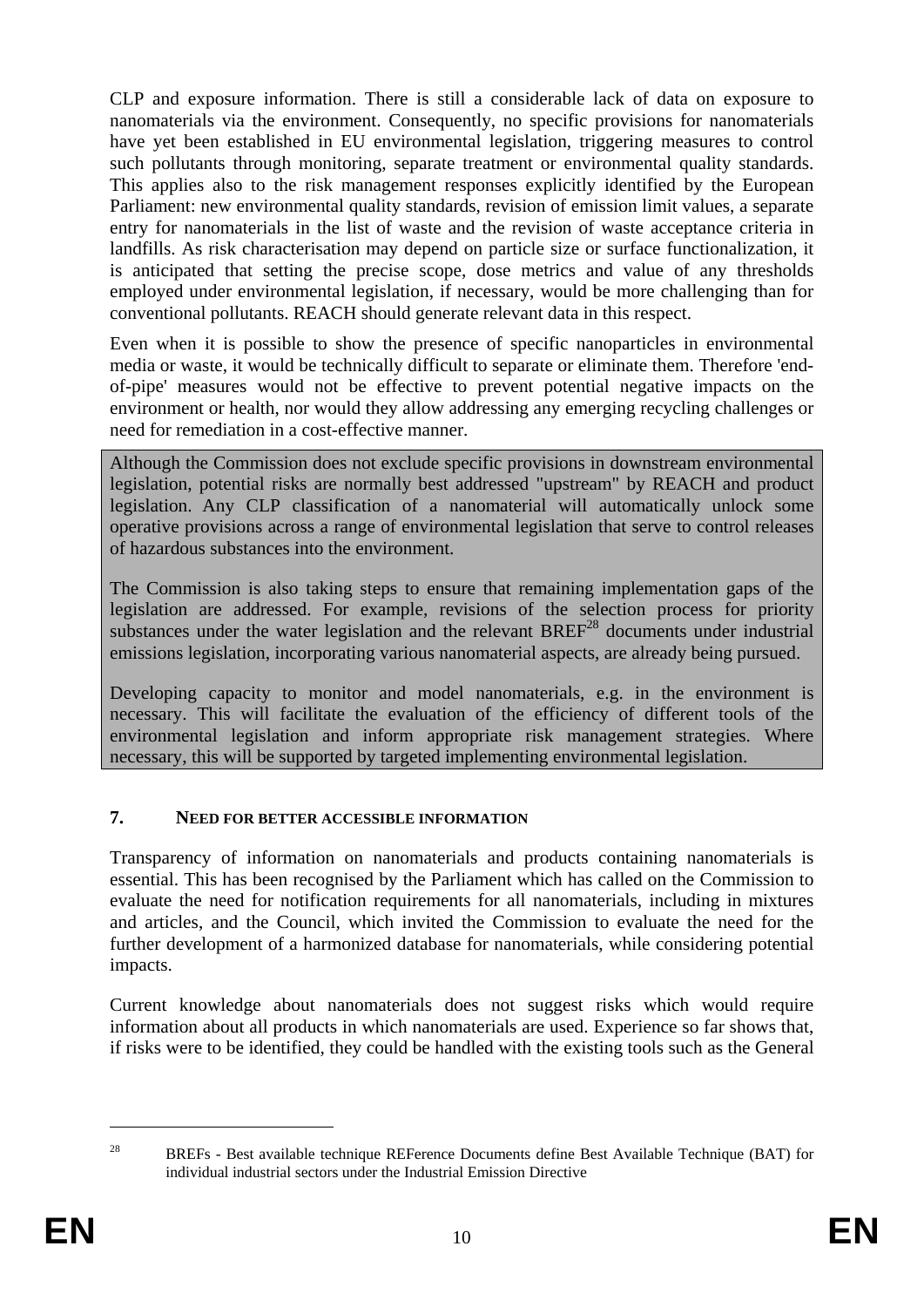CLP and exposure information. There is still a considerable lack of data on exposure to nanomaterials via the environment. Consequently, no specific provisions for nanomaterials have yet been established in EU environmental legislation, triggering measures to control such pollutants through monitoring, separate treatment or environmental quality standards. This applies also to the risk management responses explicitly identified by the European Parliament: new environmental quality standards, revision of emission limit values, a separate entry for nanomaterials in the list of waste and the revision of waste acceptance criteria in landfills. As risk characterisation may depend on particle size or surface functionalization, it is anticipated that setting the precise scope, dose metrics and value of any thresholds employed under environmental legislation, if necessary, would be more challenging than for conventional pollutants. REACH should generate relevant data in this respect.

Even when it is possible to show the presence of specific nanoparticles in environmental media or waste, it would be technically difficult to separate or eliminate them. Therefore 'endof-pipe' measures would not be effective to prevent potential negative impacts on the environment or health, nor would they allow addressing any emerging recycling challenges or need for remediation in a cost-effective manner.

Although the Commission does not exclude specific provisions in downstream environmental legislation, potential risks are normally best addressed "upstream" by REACH and product legislation. Any CLP classification of a nanomaterial will automatically unlock some operative provisions across a range of environmental legislation that serve to control releases of hazardous substances into the environment.

The Commission is also taking steps to ensure that remaining implementation gaps of the legislation are addressed. For example, revisions of the selection process for priority substances under the water legislation and the relevant  $BREF^{28}$  documents under industrial emissions legislation, incorporating various nanomaterial aspects, are already being pursued.

Developing capacity to monitor and model nanomaterials, e.g. in the environment is necessary. This will facilitate the evaluation of the efficiency of different tools of the environmental legislation and inform appropriate risk management strategies. Where necessary, this will be supported by targeted implementing environmental legislation.

# **7. NEED FOR BETTER ACCESSIBLE INFORMATION**

Transparency of information on nanomaterials and products containing nanomaterials is essential. This has been recognised by the Parliament which has called on the Commission to evaluate the need for notification requirements for all nanomaterials, including in mixtures and articles, and the Council, which invited the Commission to evaluate the need for the further development of a harmonized database for nanomaterials, while considering potential impacts.

Current knowledge about nanomaterials does not suggest risks which would require information about all products in which nanomaterials are used. Experience so far shows that, if risks were to be identified, they could be handled with the existing tools such as the General

<u>.</u>

<sup>&</sup>lt;sup>28</sup> BREFs - Best available technique REFerence Documents define Best Available Technique (BAT) for individual industrial sectors under the Industrial Emission Directive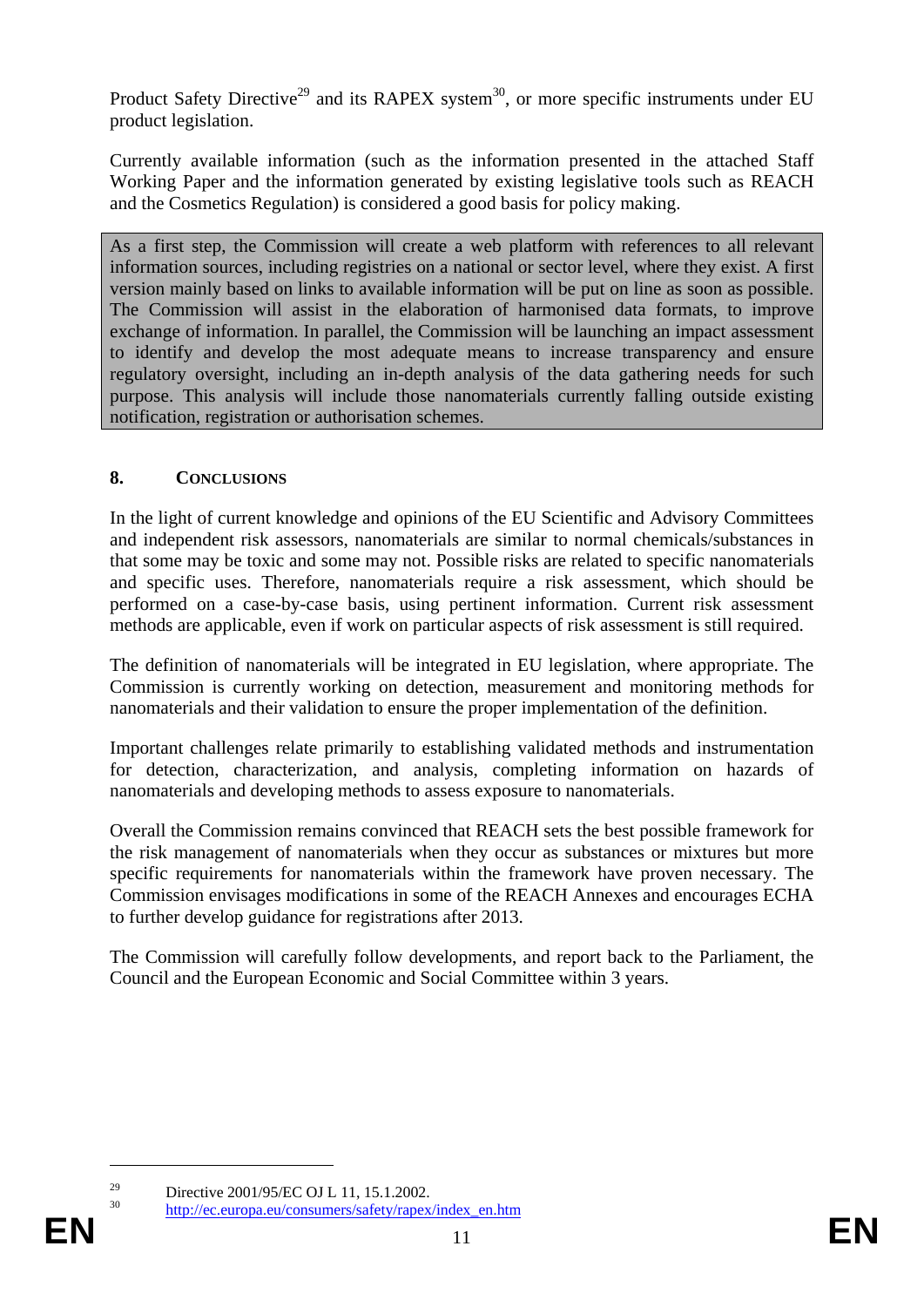Product Safety Directive<sup>29</sup> and its RAPEX system<sup>30</sup>, or more specific instruments under EU product legislation.

Currently available information (such as the information presented in the attached Staff Working Paper and the information generated by existing legislative tools such as REACH and the Cosmetics Regulation) is considered a good basis for policy making.

As a first step, the Commission will create a web platform with references to all relevant information sources, including registries on a national or sector level, where they exist. A first version mainly based on links to available information will be put on line as soon as possible. The Commission will assist in the elaboration of harmonised data formats, to improve exchange of information. In parallel, the Commission will be launching an impact assessment to identify and develop the most adequate means to increase transparency and ensure regulatory oversight, including an in-depth analysis of the data gathering needs for such purpose. This analysis will include those nanomaterials currently falling outside existing notification, registration or authorisation schemes.

# **8. CONCLUSIONS**

In the light of current knowledge and opinions of the EU Scientific and Advisory Committees and independent risk assessors, nanomaterials are similar to normal chemicals/substances in that some may be toxic and some may not. Possible risks are related to specific nanomaterials and specific uses. Therefore, nanomaterials require a risk assessment, which should be performed on a case-by-case basis, using pertinent information. Current risk assessment methods are applicable, even if work on particular aspects of risk assessment is still required.

The definition of nanomaterials will be integrated in EU legislation, where appropriate. The Commission is currently working on detection, measurement and monitoring methods for nanomaterials and their validation to ensure the proper implementation of the definition.

Important challenges relate primarily to establishing validated methods and instrumentation for detection, characterization, and analysis, completing information on hazards of nanomaterials and developing methods to assess exposure to nanomaterials.

Overall the Commission remains convinced that REACH sets the best possible framework for the risk management of nanomaterials when they occur as substances or mixtures but more specific requirements for nanomaterials within the framework have proven necessary. The Commission envisages modifications in some of the REACH Annexes and encourages ECHA to further develop guidance for registrations after 2013.

The Commission will carefully follow developments, and report back to the Parliament, the Council and the European Economic and Social Committee within 3 years.

<u>.</u>

**EN** 11 **EN**  [http://ec.europa.eu/consumers/safety/rapex/index\\_en.htm](http://ec.europa.eu/consumers/safety/rapex/index_en.htm)

<sup>&</sup>lt;sup>29</sup> Directive 2001/95/EC OJ L 11, 15.1.2002.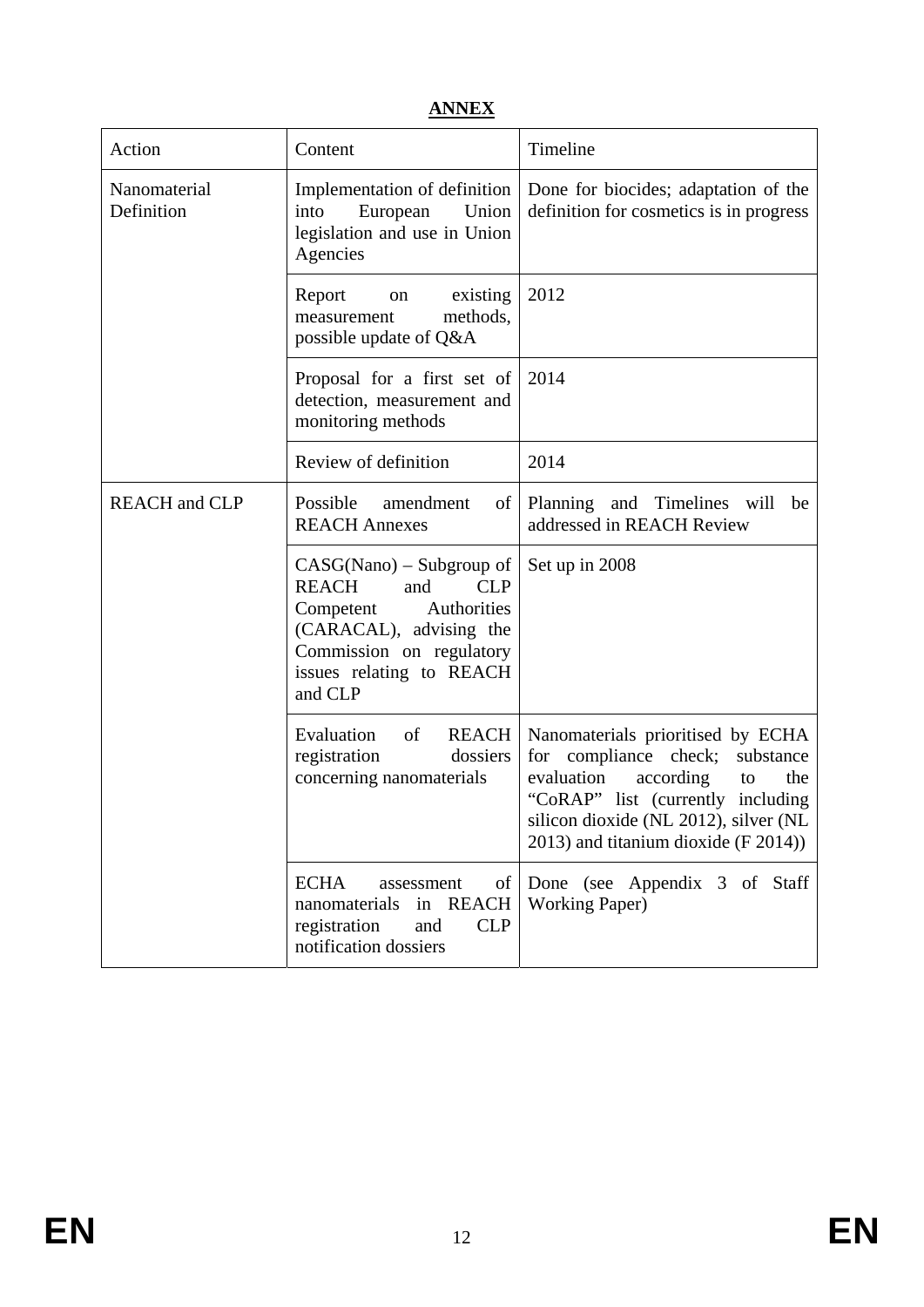# **ANNEX**

| Action                      | Content                                                                                                                                                                                   | Timeline                                                                                                                                                                                                                              |
|-----------------------------|-------------------------------------------------------------------------------------------------------------------------------------------------------------------------------------------|---------------------------------------------------------------------------------------------------------------------------------------------------------------------------------------------------------------------------------------|
| Nanomaterial<br>Definition  | Implementation of definition<br>European Union<br>into<br>legislation and use in Union<br>Agencies                                                                                        | Done for biocides; adaptation of the<br>definition for cosmetics is in progress                                                                                                                                                       |
|                             | Report<br>existing<br>on<br>methods.<br>measurement<br>possible update of Q&A                                                                                                             | 2012                                                                                                                                                                                                                                  |
|                             | Proposal for a first set of<br>detection, measurement and<br>monitoring methods                                                                                                           | 2014                                                                                                                                                                                                                                  |
|                             | Review of definition                                                                                                                                                                      | 2014                                                                                                                                                                                                                                  |
| <b>REACH</b> and <b>CLP</b> | Possible<br>amendment<br>of<br><b>REACH Annexes</b>                                                                                                                                       | Planning and Timelines will be<br>addressed in REACH Review                                                                                                                                                                           |
|                             | $CASG(Nano) - Subgroup of$<br><b>REACH</b><br><b>CLP</b><br>and<br>Competent<br>Authorities<br>(CARACAL), advising the<br>Commission on regulatory<br>issues relating to REACH<br>and CLP | Set up in 2008                                                                                                                                                                                                                        |
|                             | of<br>Evaluation<br><b>REACH</b><br>registration<br>dossiers<br>concerning nanomaterials                                                                                                  | Nanomaterials prioritised by ECHA<br>for compliance check;<br>substance<br>according<br>evaluation<br>the<br>to<br>"CoRAP" list (currently including<br>silicon dioxide (NL 2012), silver (NL<br>2013) and titanium dioxide (F 2014)) |
|                             | <b>ECHA</b><br>of<br>assessment<br><b>REACH</b><br>nanomaterials<br>in<br>registration<br><b>CLP</b><br>and<br>notification dossiers                                                      | Done (see Appendix 3 of Staff<br><b>Working Paper)</b>                                                                                                                                                                                |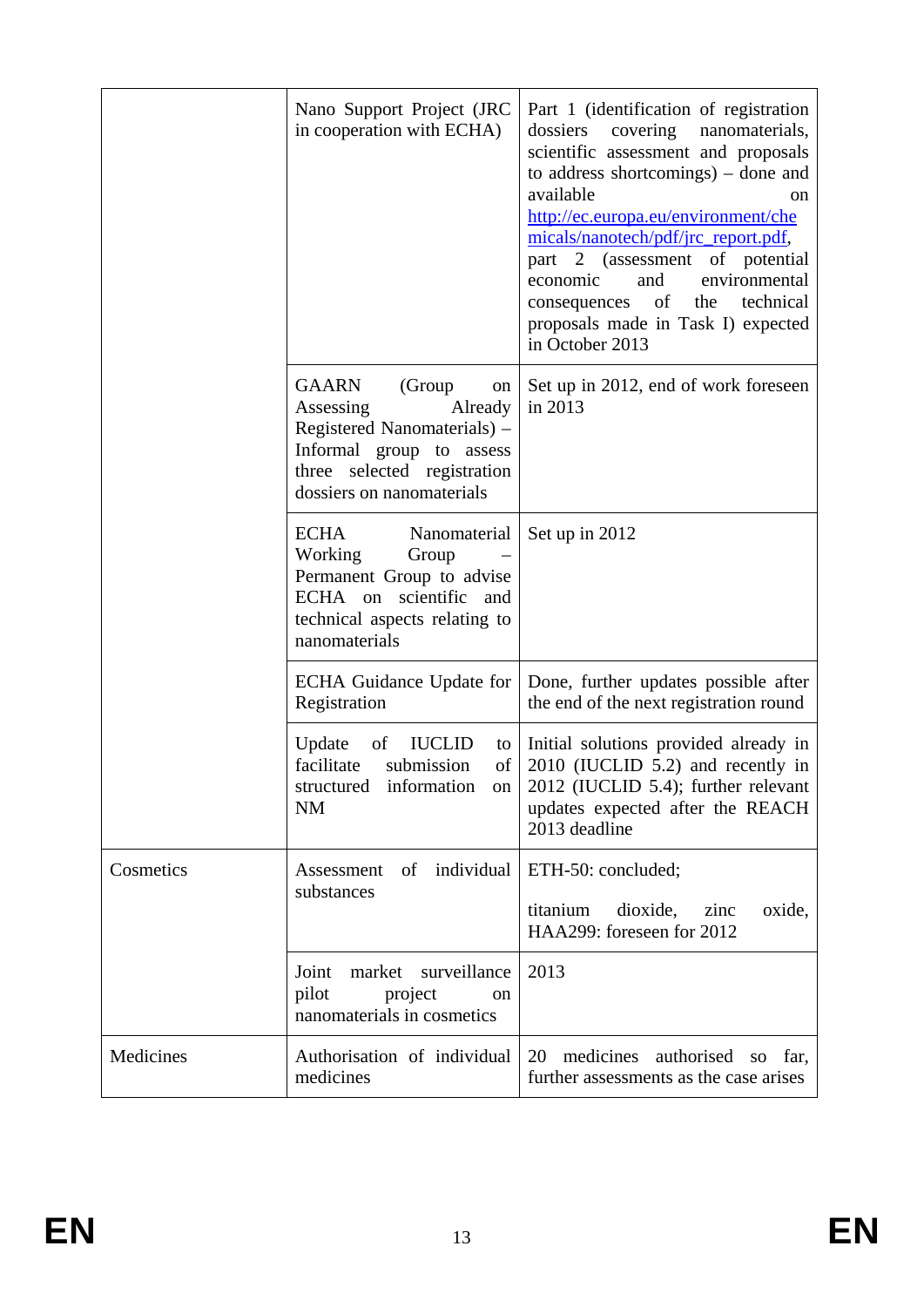|           | Nano Support Project (JRC<br>in cooperation with ECHA)                                                                                                               | Part 1 (identification of registration<br>dossiers covering nanomaterials,<br>scientific assessment and proposals<br>to address shortcomings) – done and<br>available<br>on<br>http://ec.europa.eu/environment/che<br>micals/nanotech/pdf/jrc_report.pdf,<br>part 2 (assessment of potential<br>economic<br>and<br>environmental<br>of<br>technical<br>the<br>consequences |
|-----------|----------------------------------------------------------------------------------------------------------------------------------------------------------------------|----------------------------------------------------------------------------------------------------------------------------------------------------------------------------------------------------------------------------------------------------------------------------------------------------------------------------------------------------------------------------|
|           |                                                                                                                                                                      | proposals made in Task I) expected<br>in October 2013                                                                                                                                                                                                                                                                                                                      |
|           | GAARN<br>(Group<br>on<br>Assessing<br>Already<br>Registered Nanomaterials) –<br>Informal group to assess<br>three selected registration<br>dossiers on nanomaterials | Set up in 2012, end of work foreseen<br>in 2013                                                                                                                                                                                                                                                                                                                            |
|           | <b>ECHA</b><br>Nanomaterial<br>Working<br>Group<br>Permanent Group to advise<br>ECHA on scientific and<br>technical aspects relating to<br>nanomaterials             | Set up in 2012                                                                                                                                                                                                                                                                                                                                                             |
|           | ECHA Guidance Update for<br>Registration                                                                                                                             | Done, further updates possible after<br>the end of the next registration round                                                                                                                                                                                                                                                                                             |
|           | Update<br><b>IUCLID</b><br>of<br>to<br>facilitate<br>submission<br>of<br>structured<br>information<br>on  <br><b>NM</b>                                              | Initial solutions provided already in<br>2010 (IUCLID 5.2) and recently in<br>2012 (IUCLID 5.4); further relevant<br>updates expected after the REACH<br>2013 deadline                                                                                                                                                                                                     |
| Cosmetics | individual<br>Assessment<br>of<br>substances                                                                                                                         | ETH-50: concluded;                                                                                                                                                                                                                                                                                                                                                         |
|           |                                                                                                                                                                      | titanium<br>dioxide,<br>zinc<br>oxide,<br>HAA299: foreseen for 2012                                                                                                                                                                                                                                                                                                        |
|           | surveillance<br>market<br>Joint<br>pilot<br>project<br><sub>on</sub><br>nanomaterials in cosmetics                                                                   | 2013                                                                                                                                                                                                                                                                                                                                                                       |
| Medicines | Authorisation of individual<br>medicines                                                                                                                             | 20<br>medicines<br>authorised<br>SO<br>far,<br>further assessments as the case arises                                                                                                                                                                                                                                                                                      |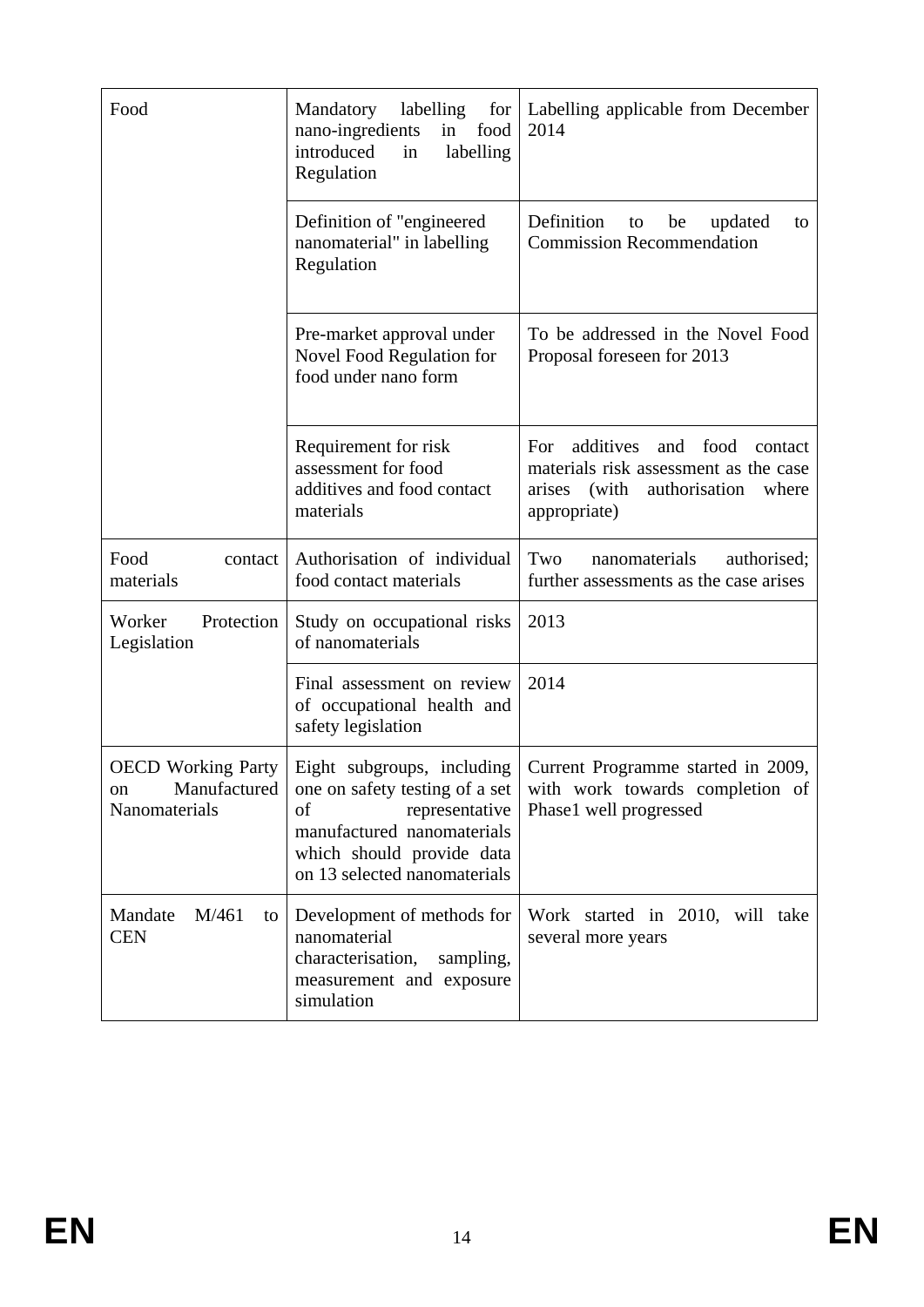| Food                                                             | labelling<br>Mandatory<br>for<br>nano-ingredients<br>food<br>in<br>introduced<br>in<br>labelling<br>Regulation                                                                  | Labelling applicable from December<br>2014                                                                                                    |
|------------------------------------------------------------------|---------------------------------------------------------------------------------------------------------------------------------------------------------------------------------|-----------------------------------------------------------------------------------------------------------------------------------------------|
|                                                                  | Definition of "engineered"<br>nanomaterial" in labelling<br>Regulation                                                                                                          | Definition<br>updated<br>be<br>to<br>to<br><b>Commission Recommendation</b>                                                                   |
|                                                                  | Pre-market approval under<br>Novel Food Regulation for<br>food under nano form                                                                                                  | To be addressed in the Novel Food<br>Proposal foreseen for 2013                                                                               |
|                                                                  | Requirement for risk<br>assessment for food<br>additives and food contact<br>materials                                                                                          | additives<br>For<br>and food<br>contact<br>materials risk assessment as the case<br>(with<br>authorisation<br>where<br>arises<br>appropriate) |
| Food<br>contact<br>materials                                     | Authorisation of individual<br>food contact materials                                                                                                                           | Two<br>authorised;<br>nanomaterials<br>further assessments as the case arises                                                                 |
| Protection<br>Worker<br>Legislation                              | Study on occupational risks<br>of nanomaterials                                                                                                                                 | 2013                                                                                                                                          |
|                                                                  | Final assessment on review<br>of occupational health and<br>safety legislation                                                                                                  | 2014                                                                                                                                          |
| <b>OECD</b> Working Party<br>Manufactured<br>on<br>Nanomaterials | Eight subgroups, including<br>one on safety testing of a set<br>of<br>representative<br>manufactured nanomaterials<br>which should provide data<br>on 13 selected nanomaterials | Current Programme started in 2009,<br>with work towards completion of<br>Phase1 well progressed                                               |
| M/461<br>Mandate<br>to<br><b>CEN</b>                             | Development of methods for<br>nanomaterial<br>characterisation,<br>sampling,<br>measurement and exposure<br>simulation                                                          | Work started in 2010, will take<br>several more years                                                                                         |